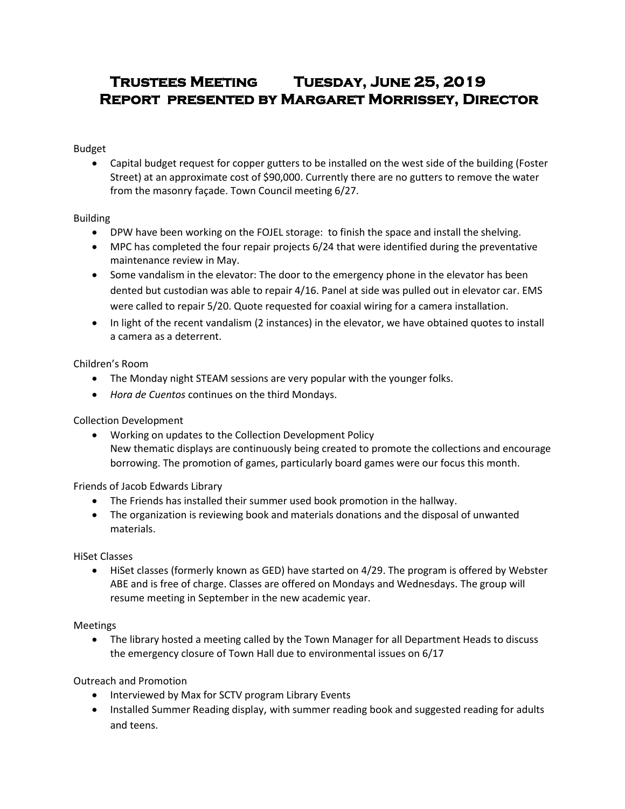# **Trustees Meeting Tuesday, June 25, 2019 Report presented by Margaret Morrissey, Director**

Budget

 Capital budget request for copper gutters to be installed on the west side of the building (Foster Street) at an approximate cost of \$90,000. Currently there are no gutters to remove the water from the masonry façade. Town Council meeting 6/27.

Building

- DPW have been working on the FOJEL storage: to finish the space and install the shelving.
- MPC has completed the four repair projects 6/24 that were identified during the preventative maintenance review in May.
- Some vandalism in the elevator: The door to the emergency phone in the elevator has been dented but custodian was able to repair 4/16. Panel at side was pulled out in elevator car. EMS were called to repair 5/20. Quote requested for coaxial wiring for a camera installation.
- In light of the recent vandalism (2 instances) in the elevator, we have obtained quotes to install a camera as a deterrent.

Children's Room

- The Monday night STEAM sessions are very popular with the younger folks.
- *Hora de Cuentos* continues on the third Mondays.

Collection Development

 Working on updates to the Collection Development Policy New thematic displays are continuously being created to promote the collections and encourage borrowing. The promotion of games, particularly board games were our focus this month.

Friends of Jacob Edwards Library

- The Friends has installed their summer used book promotion in the hallway.
- The organization is reviewing book and materials donations and the disposal of unwanted materials.

HiSet Classes

 HiSet classes (formerly known as GED) have started on 4/29. The program is offered by Webster ABE and is free of charge. Classes are offered on Mondays and Wednesdays. The group will resume meeting in September in the new academic year.

Meetings

 The library hosted a meeting called by the Town Manager for all Department Heads to discuss the emergency closure of Town Hall due to environmental issues on 6/17

Outreach and Promotion

- Interviewed by Max for SCTV program Library Events
- Installed Summer Reading display, with summer reading book and suggested reading for adults and teens.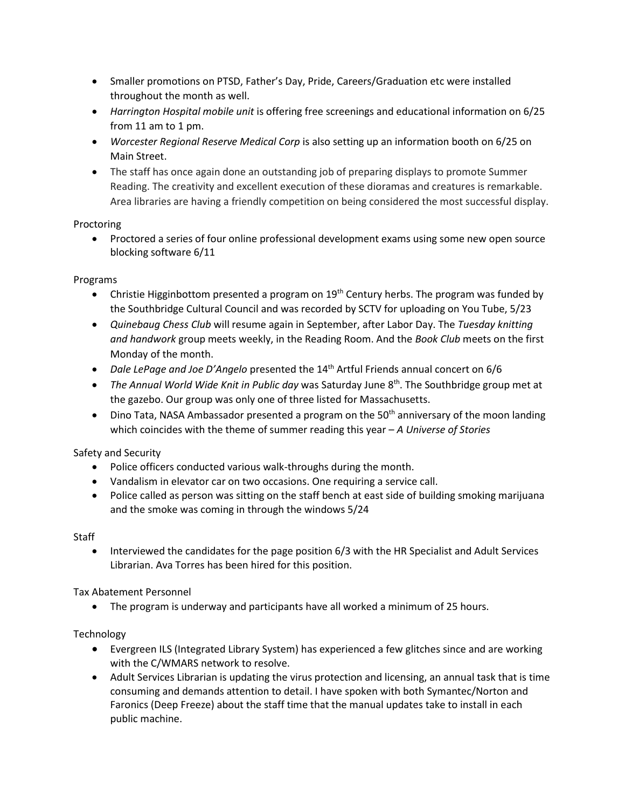- Smaller promotions on PTSD, Father's Day, Pride, Careers/Graduation etc were installed throughout the month as well.
- *Harrington Hospital mobile unit* is offering free screenings and educational information on 6/25 from 11 am to 1 pm.
- *Worcester Regional Reserve Medical Corp* is also setting up an information booth on 6/25 on Main Street.
- The staff has once again done an outstanding job of preparing displays to promote Summer Reading. The creativity and excellent execution of these dioramas and creatures is remarkable. Area libraries are having a friendly competition on being considered the most successful display.

### Proctoring

 Proctored a series of four online professional development exams using some new open source blocking software 6/11

### Programs

- Christie Higginbottom presented a program on  $19<sup>th</sup>$  Century herbs. The program was funded by the Southbridge Cultural Council and was recorded by SCTV for uploading on You Tube, 5/23
- *Quinebaug Chess Club* will resume again in September, after Labor Day. The *Tuesday knitting and handwork* group meets weekly, in the Reading Room. And the *Book Club* meets on the first Monday of the month.
- *Dale LePage and Joe D'Angelo* presented the 14<sup>th</sup> Artful Friends annual concert on 6/6
- The Annual World Wide Knit in Public day was Saturday June 8<sup>th</sup>. The Southbridge group met at the gazebo. Our group was only one of three listed for Massachusetts.
- $\bullet$  Dino Tata, NASA Ambassador presented a program on the 50<sup>th</sup> anniversary of the moon landing which coincides with the theme of summer reading this year – *A Universe of Stories*

# Safety and Security

- Police officers conducted various walk-throughs during the month.
- Vandalism in elevator car on two occasions. One requiring a service call.
- Police called as person was sitting on the staff bench at east side of building smoking marijuana and the smoke was coming in through the windows 5/24

#### Staff

 Interviewed the candidates for the page position 6/3 with the HR Specialist and Adult Services Librarian. Ava Torres has been hired for this position.

Tax Abatement Personnel

The program is underway and participants have all worked a minimum of 25 hours.

# **Technology**

- Evergreen ILS (Integrated Library System) has experienced a few glitches since and are working with the C/WMARS network to resolve.
- Adult Services Librarian is updating the virus protection and licensing, an annual task that is time consuming and demands attention to detail. I have spoken with both Symantec/Norton and Faronics (Deep Freeze) about the staff time that the manual updates take to install in each public machine.